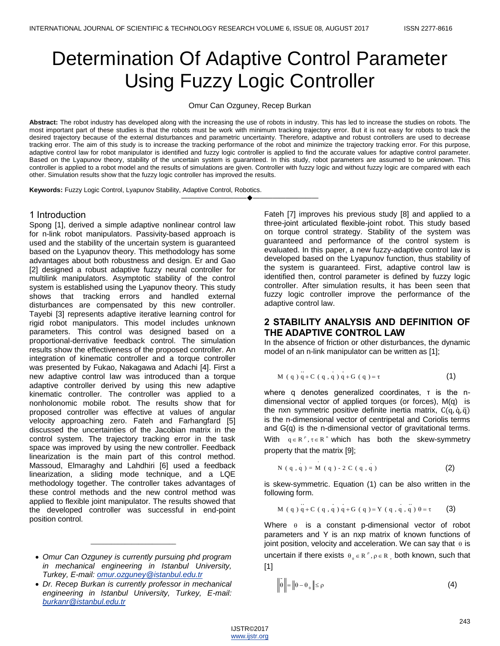# Determination Of Adaptive Control Parameter Using Fuzzy Logic Controller

Omur Can Ozguney, Recep Burkan

**Abstract:** The robot industry has developed along with the increasing the use of robots in industry. This has led to increase the studies on robots. The most important part of these studies is that the robots must be work with minimum tracking trajectory error. But it is not easy for robots to track the desired trajectory because of the external disturbances and parametric uncertainty. Therefore, adaptive and robust controllers are used to decrease tracking error. The aim of this study is to increase the tracking performance of the robot and minimize the trajectory tracking error. For this purpose, adaptive control law for robot manipulator is identified and fuzzy logic controller is applied to find the accurate values for adaptive control parameter. Based on the Lyapunov theory, stability of the uncertain system is guaranteed. In this study, robot parameters are assumed to be unknown. This controller is applied to a robot model and the results of simulations are given. Controller with fuzzy logic and without fuzzy logic are compared with each other. Simulation results show that the fuzzy logic controller has improved the results.

————————————————————

**Keywords:** Fuzzy Logic Control, Lyapunov Stability, Adaptive Control, Robotics.

## 1 Introduction

Spong [1], derived a simple adaptive nonlinear control law for n-link robot manipulators. Passivity-based approach is used and the stability of the uncertain system is guaranteed based on the Lyapunov theory. This methodology has some advantages about both robustness and design. Er and Gao [2] designed a robust adaptive fuzzy neural controller for multilink manipulators. Asymptotic stability of the control system is established using the Lyapunov theory. This study shows that tracking errors and handled external disturbances are compensated by this new controller. Tayebi [3] represents adaptive iterative learning control for rigid robot manipulators. This model includes unknown parameters. This control was designed based on a proportional-derrivative feedback control. The simulation results show the effectiveness of the proposed controller. An integration of kinematic controller and a torque controller was presented by Fukao, Nakagawa and Adachi [4]. First a new adaptive control law was introduced than a torque adaptive controller derived by using this new adaptive kinematic controller. The controller was applied to a nonholonomic mobile robot. The results show that for proposed controller was effective at values of angular velocity approaching zero. Fateh and Farhangfard [5] discussed the uncertainties of the Jacobian matrix in the control system. The trajectory tracking error in the task space was improved by using the new controller. Feedback linearization is the main part of this control method. Massoud, Elmaraghy and Lahdhiri [6] used a feedback linearization, a sliding mode technique, and a LQE methodology together. The controller takes advantages of these control methods and the new control method was applied to flexible joint manipulator. The results showed that the developed controller was successful in end-point position control.

 $\overline{\phantom{a}}$  , where the contract of the contract of the contract of the contract of the contract of the contract of the contract of the contract of the contract of the contract of the contract of the contract of the contr

 *Dr. Recep Burkan is currently professor in mechanical engineering in Istanbul University, Turkey, E-mail: burkanr@istanbul.edu.tr*

Fateh [7] improves his previous study [8] and applied to a three-joint articulated flexible-joint robot. This study based on torque control strategy. Stability of the system was guaranteed and performance of the control system is evaluated. In this paper, a new fuzzy-adaptive control law is developed based on the Lyapunov function, thus stability of the system is guaranteed. First, adaptive control law is identified then, control parameter is defined by fuzzy logic controller. After simulation results, it has been seen that fuzzy logic controller improve the performance of the adaptive control law.

# **2 STABILITY ANALYSIS AND DEFINITION OF THE ADAPTIVE CONTROL LAW**

In the absence of friction or other disturbances, the dynamic model of an n-link manipulator can be written as [1];

M (q) 
$$
q + C
$$
 (q, q)  $q + G$  (q) =  $\tau$  (1)

where q denotes generalized coordinates, τ is the ndimensional vector of applied torques (or forces), M(q) is the nxn symmetric positive definite inertia matrix,  $C(q, \dot{q}, \ddot{q})$ is the n-dimensional vector of centripetal and Coriolis terms and G(q) is the n-dimensional vector of gravitational terms. With  $q \in R^p$ ,  $\tau \in R^n$  which has both the skew-symmetry property that the matrix [9];

N ( q , q ) = M ( q ) - 2 C ( q , q ) (2)

is skew-symmetric. Equation (1) can be also written in the following form.

$$
M (q) q + C (q, q) q + G (q) = Y (q, q, q) θ = τ
$$
\n(3)

Where  $\theta$  is a constant p-dimensional vector of robot parameters and Y is an nxp matrix of known functions of joint position, velocity and acceleration. We can say that  $\theta$  is uncertain if there exists  $\theta_0 \in R^P$ ,  $\rho \in R_+$  both known, such that [1]

$$
\tilde{\theta} \left\| = \left\| \theta - \theta_{\circ} \right\| \le \rho \tag{4}
$$

*Omur Can Ozguney is currently pursuing phd program in mechanical engineering in Istanbul University, Turkey, E-mail: omur.ozguney@istanbul.edu.tr*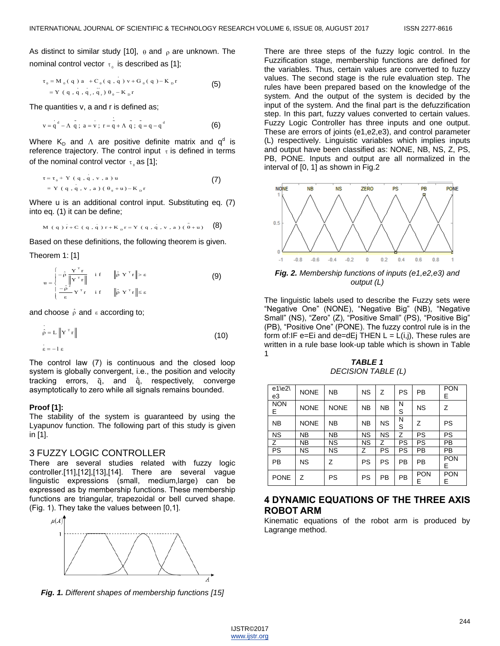As distinct to similar study [10],  $\theta$  and  $\rho$  are unknown. The nominal control vector  $\tau_{\mathfrak{g}}$  is described as [1];

$$
\tau_0 = M_0(q) a + C_0(q, q) v + G_0(q) - K_p r
$$
  
= Y (q, q, q, q, q, q)  $\theta_0 - K_p r$  (5)

The quantities v, a and r is defined as;

$$
v = qd - \Lambda \tilde{q} ; a = v ; r = q + \Lambda \tilde{q} ; \tilde{q} = q - qd
$$
 (6)

Where  $K_D$  and  $\Lambda$  are positive definite matrix and  $q^d$  is reference trajectory. The control input  $\tau$  is defined in terms of the nominal control vector  $\tau_{\scriptscriptstyle 0}$  as [1];

$$
\tau = \tau_0 + Y (q, q, v, a) u
$$
  
= Y (q, q, v, a) (\theta\_0 + u) - K\_p r

Where u is an additional control input. Substituting eq. (7) into eq. (1) it can be define;

M (q) r + C (q, q) r + K<sub>p</sub> r = Y (q, q, v, a) 
$$
\tilde{\theta}
$$
 + u) (8)

Based on these definitions, the following theorem is given.

Theorem 1: [1]

$$
\mathbf{u} = \begin{cases}\n-\hat{\rho} \frac{\mathbf{Y}^{\mathrm{T}} \mathbf{r}}{\|\mathbf{Y}^{\mathrm{T}} \mathbf{r}\|} & \text{if} \quad \|\hat{\rho} \mathbf{Y}^{\mathrm{T}} \mathbf{r}\| > \varepsilon \\
-\frac{\hat{\rho}^2}{\varepsilon} \mathbf{Y}^{\mathrm{T}} \mathbf{r} & \text{if} \quad \|\hat{\rho} \mathbf{Y}^{\mathrm{T}} \mathbf{r}\| \le \varepsilon\n\end{cases}
$$
\n(9)

and choose  $\hat{\rho}$  and  $\varepsilon$  according to;

$$
\hat{\rho} = L \left\| \mathbf{Y}^{\mathrm{T}} \mathbf{r} \right\|
$$
\n
$$
\hat{\epsilon} = -1 \epsilon
$$
\n(10)

The control law (7) is continuous and the closed loop system is globally convergent, i.e., the position and velocity tracking errors, q̃, and  $\dot{q}$ , respectively, converge asymptotically to zero while all signals remains bounded.

### **Proof [1]:**

The stability of the system is guaranteed by using the Lyapunov function. The following part of this study is given in [1].

## 3 FUZZY LOGIC CONTROLLER

There are several studies related with fuzzy logic controller.[11],[12],[13],[14]. There are several vague linguistic expressions (small, medium,large) can be expressed as by membership functions. These membership functions are triangular, trapezoidal or bell curved shape. (Fig. 1). They take the values between [0,1].



*Fig. 1. Different shapes of membership functions [15]*

There are three steps of the fuzzy logic control. In the Fuzzification stage, membership functions are defined for the variables. Thus, certain values are converted to fuzzy values. The second stage is the rule evaluation step. The rules have been prepared based on the knowledge of the system. And the output of the system is decided by the input of the system. And the final part is the defuzzification step. In this part, fuzzy values converted to certain values. Fuzzy Logic Controller has three inputs and one output. These are errors of joints (e1,e2,e3), and control parameter (L) respectively. Linguistic variables which implies inputs and output have been classified as: NONE, NB, NS, Z, PS, PB, PONE. Inputs and output are all normalized in the interval of [0, 1] as shown in Fig.2



*output (L)*

The linguistic labels used to describe the Fuzzy sets were "Negative One" (NONE), "Negative Big" (NB), "Negative Small" (NS), "Zero" (Z), "Positive Small" (PS), "Positive Big" (PB), "Positive One" (PONE). The fuzzy control rule is in the form of:IF e=Ei and de=dEj THEN  $L = L(i,j)$ , These rules are written in a rule base look-up table which is shown in Table 1

*TABLE 1 DECISION TABLE (L)*

| $e1$ \e2\<br>e3 | <b>NONE</b> | <b>NB</b>   | <b>NS</b> | Z         | PS        | <b>PB</b>       | <b>PON</b><br>E. |
|-----------------|-------------|-------------|-----------|-----------|-----------|-----------------|------------------|
| <b>NON</b><br>Е | <b>NONE</b> | <b>NONE</b> | <b>NB</b> | <b>NB</b> | Ν<br>S    | <b>NS</b>       | Z                |
| <b>NB</b>       | <b>NONE</b> | NB          | <b>NB</b> | <b>NS</b> | N<br>S    | Z               | PS               |
| <b>NS</b>       | NΒ          | <b>NB</b>   | <b>NS</b> | <b>NS</b> | Z         | <b>PS</b>       | <b>PS</b>        |
| $\overline{z}$  | NΒ          | ΝS          | <b>NS</b> | Ζ         | PS        | <b>PS</b>       | <b>PB</b>        |
| PS              | <b>NS</b>   | NS.         | Z         | <b>PS</b> | <b>PS</b> | <b>PB</b>       | <b>PB</b>        |
| PB              | <b>NS</b>   | Ζ           | PS        | PS        | PB        | PB              | <b>PON</b><br>E. |
| <b>PONE</b>     | Z           | PS          | PS        | PB        | PB        | <b>PON</b><br>E | <b>PON</b><br>E  |

# **4 DYNAMIC EQUATIONS OF THE THREE AXIS ROBOT ARM**

Kinematic equations of the robot arm is produced by Lagrange method.

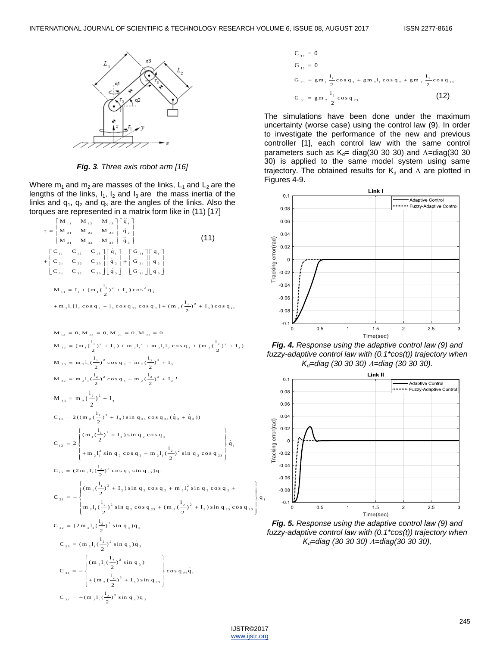

*Fig. 3. Three axis robot arm [16]*

Where  $m_1$  and  $m_2$  are masses of the links,  $L_1$  and  $L_2$  are the lengths of the links,  $I_1$ ,  $I_2$  and  $I_3$  are the mass inertia of the links and  $q_1$ ,  $q_2$  and  $q_3$  are the angles of the links. Also the

torques are represented in a matrix form like in (11) [17]  
\n
$$
\tau = \begin{vmatrix}\nM_{11} & M_{12} & M_{13} \\
M_{21} & M_{22} & M_{23} \\
M_{31} & M_{32} & M_{33}\n\end{vmatrix} \begin{vmatrix}\n\dot{q}_1 \\
\dot{q}_2 \\
\dot{q}_3\n\end{vmatrix}
$$
\n(11)  
\n
$$
+ \begin{vmatrix}\nC_{11} & C_{12} & C_{13} \Gamma \dot{q}_1 \\
C_{21} & C_{22} & C_{23} \end{vmatrix} \begin{vmatrix}\n\dot{q}_1 \\
\dot{q}_2 \\
\dot{q}_3\n\end{vmatrix} + \begin{vmatrix}\nG_{11} \Gamma q_1 \\
G_{21} \end{vmatrix}
$$
\n
$$
= 1, + (m_1(\frac{1}{2})^2 + 1,) \cos^2 q_2
$$
\n
$$
+ m_21, [1, \cos q_2 + 1, \cos q_{23} \cos q_2] + (m_2(\frac{1}{2})^2 + 1,) \cos q_{12}
$$
\n
$$
= 0, M_{13} = 0, M_{21} = 0, M_{21} = 0
$$
\n
$$
M_{22} = (m_1(\frac{1}{2})^2 + 1_2) + m_21_1^2 + m_21_1^1_2 \cos q_3 + (m_2(\frac{1}{2})^2 + 1_2)
$$
\n
$$
= 0, M_{23} = m_21, (\frac{1}{2})^2 \cos q_3 + m_2(\frac{1}{2})^2 + 1_3
$$
\n
$$
= m_21, (\frac{1}{2})^2 \cos q_3 + m_2(\frac{1}{2})^2 + 1_3
$$
\n
$$
= 0, \quad M_{23} = m_21, (\frac{1}{2})^2 \cos q_3 + m_2(\frac{1}{2})^2 + 1_3
$$
\n
$$
= 0, \quad M_{31} = m_2(\frac{1}{2})^2 \cos q_3 + m_2(\frac{1}{2})^2 + 1_3
$$
\n
$$
= 0, \quad (1, \frac{1}{2})^2 \cos q_3 + m_2(\frac{1}{2})^2 + 1_3
$$

$$
C_{33} = 0
$$
  
\n
$$
G_{11} = 0
$$
  
\n
$$
G_{21} = gm_1 \frac{1}{2} cos q_2 + gm_2 1, cos q_2 + gm_2 \frac{1}{2} cos q_{23}
$$
  
\n
$$
G_{31} = gm_2 \frac{1}{2} cos q_{23}
$$
\n(12)

The simulations have been done under the maximum uncertainty (worse case) using the control law (9). In order to investigate the performance of the new and previous controller [1], each control law with the same control parameters such as  $K_d$ = diag(30 30 30) and  $\Lambda$ =diag(30 30 30) is applied to the same model system using same trajectory. The obtained results for  $K_d$  and  $\Lambda$  are plotted in Figures 4-9.



*Fig. 4. Response using the adaptive control law (9) and fuzzy-adaptive control law with (0.1\*cos(t)) trajectory when Kd=diag (30 30 30) =diag (30 30 30).*



*Fig. 5. Response using the adaptive control law (9) and fuzzy-adaptive control law with (0.1\*cos(t)) trajectory when Kd=diag (30 30 30) =diag(30 30 30),*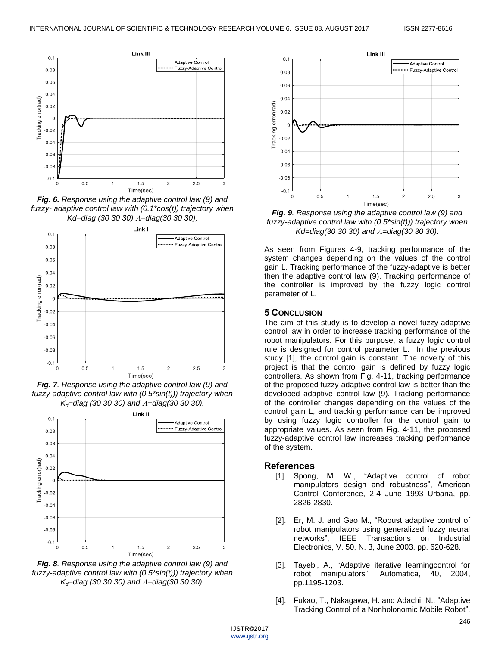

*Fig. 6. Response using the adaptive control law (9) and fuzzy- adaptive control law with (0.1\*cos(t)) trajectory when Kd=diag (30 30 30) =diag(30 30 30),*



*Fig. 7. Response using the adaptive control law (9) and fuzzy-adaptive control law with (0.5\*sin(t))) trajectory when Kd=diag (30 30 30) and =diag(30 30 30).*



*Fig. 8. Response using the adaptive control law (9) and fuzzy-adaptive control law with (0.5\*sin(t))) trajectory when Kd=diag (30 30 30) and =diag(30 30 30).*



*Fig. 9. Response using the adaptive control law (9) and fuzzy-adaptive control law with (0.5\*sin(t))) trajectory when Kd=diag(30 30 30) and*  $\Lambda$ *=diag(30 30 30).* 

As seen from Figures 4-9, tracking performance of the system changes depending on the values of the control gain L. Tracking performance of the fuzzy-adaptive is better then the adaptive control law (9). Tracking performance of the controller is improved by the fuzzy logic control parameter of L.

#### **5 CONCLUSION**

The aim of this study is to develop a novel fuzzy-adaptive control law in order to increase tracking performance of the robot manipulators. For this purpose, a fuzzy logic control rule is designed for control parameter L. In the previous study [1], the control gain is constant. The novelty of this project is that the control gain is defined by fuzzy logic controllers. As shown from Fig. 4-11, tracking performance of the proposed fuzzy-adaptive control law is better than the developed adaptive control law (9). Tracking performance of the controller changes depending on the values of the control gain L, and tracking performance can be improved by using fuzzy logic controller for the control gain to appropriate values. As seen from Fig. 4-11, the proposed fuzzy-adaptive control law increases tracking performance of the system.

### **References**

- [1]. Spong, M. W., "Adaptive control of robot manipulators design and robustness", American Control Conference, 2-4 June 1993 Urbana, pp. 2826-2830.
- [2]. Er, M. J. and Gao M., "Robust adaptive control of robot manipulators using generalized fuzzy neural networks", IEEE Transactions on Industrial Electronics, V. 50, N. 3, June 2003, pp. 620-628.
- [3]. Tayebi, A., "Adaptive iterative learning control for robot manipulators", Automatica, 40, 2004, pp.1195-1203.
- [4]. Fukao, T., Nakagawa, H. and Adachi, N., "Adaptive Tracking Control of a Nonholonomic Mobile Robot",